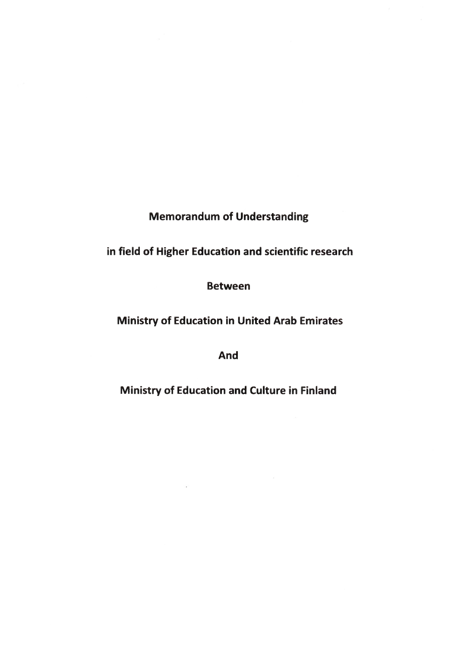# **Memorandum of Understanding**

# **in field of Higher Education and Scientific research**

## **Between**

# **Ministry of Education in United Arab Emirates**

**And**

**Ministry of Education and Culture in Finland**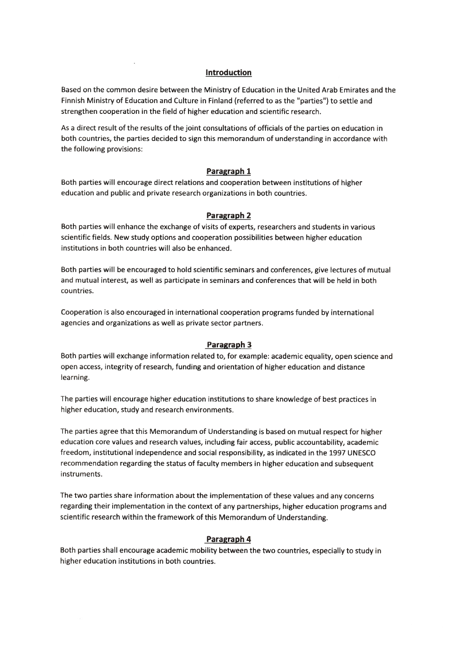#### **Introduction**

Based on the common desire between the Ministry of Education in the United Arab Emirates and the Finnish Ministry of Education and Culture in Finland (referred to as the "parties") to settie and strengthen cooperation in the field of higher education and Scientific research.

As a direct result of the results of the joint consultations of officials of the parties on education in both countries, the parties deeided to sign this memorandum of understanding in accordance with the following provisions:

#### **Paragraph 1**

Both parties will encourage direct relations and cooperation betvveen institutions of higher education and publie and private research organizations in both countries.

#### **Paragraph 2**

Both parties will enhance the exchange of visits of experts, researchers and students in various Scientific fields. New study options and cooperation possibilities between higher education institutions in both countries will also be enhanced.

Both parties will be encouraged to hold Scientific seminars and conferences, give lectures of mutual and mutual interest, as well as participate in seminars and conferences that will be held in both countries.

Cooperation is also encouraged in international cooperation programs funded by international agencies and organizations as well as private sector partners.

#### **Paragraph 3**

Both parties will exchange information related to, for example: academic equality, open science and open access, integrity of research, funding and orientation of higher education and distance learning.

The parties will encourage higher education institutions to share knowledge of best practices in higher education, study and research environments.

The parties agree that this Memorandum of Understanding is based on mutual respect for higher education core values and research values, including fair access, publie accountability, academic freedom, institutional independence and social responsibility, as indicated in the 1997 UNESCO recommendation regarding the status of faculty members in higher education and subsequent instruments.

The two parties share information about the implementation of these values and any concerns regarding their implementation in the context of any partnerships, higher education programs and scientific research within the framework of this Memorandum of Understanding.

#### **Paragraph 4**

Both parties shall encourage academic mobility between the two countries, especially to study in higher education institutions in both countries.